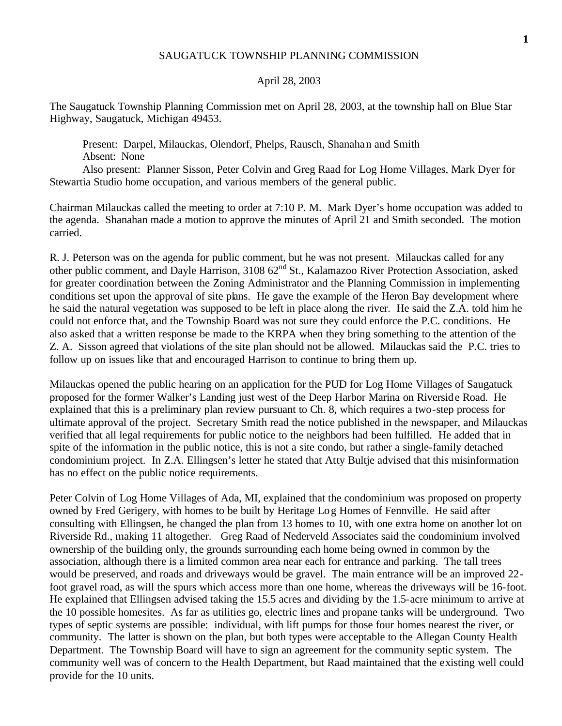## SAUGATUCK TOWNSHIP PLANNING COMMISSION

## April 28, 2003

The Saugatuck Township Planning Commission met on April 28, 2003, at the township hall on Blue Star Highway, Saugatuck, Michigan 49453.

Present: Darpel, Milauckas, Olendorf, Phelps, Rausch, Shanahan and Smith Absent: None

Also present: Planner Sisson, Peter Colvin and Greg Raad for Log Home Villages, Mark Dyer for Stewartia Studio home occupation, and various members of the general public.

Chairman Milauckas called the meeting to order at 7:10 P. M. Mark Dyer's home occupation was added to the agenda. Shanahan made a motion to approve the minutes of April 21 and Smith seconded. The motion carried.

R. J. Peterson was on the agenda for public comment, but he was not present. Milauckas called for any other public comment, and Dayle Harrison, 3108 62nd St., Kalamazoo River Protection Association, asked for greater coordination between the Zoning Administrator and the Planning Commission in implementing conditions set upon the approval of site plans. He gave the example of the Heron Bay development where he said the natural vegetation was supposed to be left in place along the river. He said the Z.A. told him he could not enforce that, and the Township Board was not sure they could enforce the P.C. conditions. He also asked that a written response be made to the KRPA when they bring something to the attention of the Z. A. Sisson agreed that violations of the site plan should not be allowed. Milauckas said the P.C. tries to follow up on issues like that and encouraged Harrison to continue to bring them up.

Milauckas opened the public hearing on an application for the PUD for Log Home Villages of Saugatuck proposed for the former Walker's Landing just west of the Deep Harbor Marina on Riverside Road. He explained that this is a preliminary plan review pursuant to Ch. 8, which requires a two-step process for ultimate approval of the project. Secretary Smith read the notice published in the newspaper, and Milauckas verified that all legal requirements for public notice to the neighbors had been fulfilled. He added that in spite of the information in the public notice, this is not a site condo, but rather a single-family detached condominium project. In Z.A. Ellingsen's letter he stated that Atty Bultje advised that this misinformation has no effect on the public notice requirements.

Peter Colvin of Log Home Villages of Ada, MI, explained that the condominium was proposed on property owned by Fred Gerigery, with homes to be built by Heritage Log Homes of Fennville. He said after consulting with Ellingsen, he changed the plan from 13 homes to 10, with one extra home on another lot on Riverside Rd., making 11 altogether. Greg Raad of Nederveld Associates said the condominium involved ownership of the building only, the grounds surrounding each home being owned in common by the association, although there is a limited common area near each for entrance and parking. The tall trees would be preserved, and roads and driveways would be gravel. The main entrance will be an improved 22 foot gravel road, as will the spurs which access more than one home, whereas the driveways will be 16-foot. He explained that Ellingsen advised taking the 15.5 acres and dividing by the 1.5-acre minimum to arrive at the 10 possible homesites. As far as utilities go, electric lines and propane tanks will be underground. Two types of septic systems are possible: individual, with lift pumps for those four homes nearest the river, or community. The latter is shown on the plan, but both types were acceptable to the Allegan County Health Department. The Township Board will have to sign an agreement for the community septic system. The community well was of concern to the Health Department, but Raad maintained that the existing well could provide for the 10 units.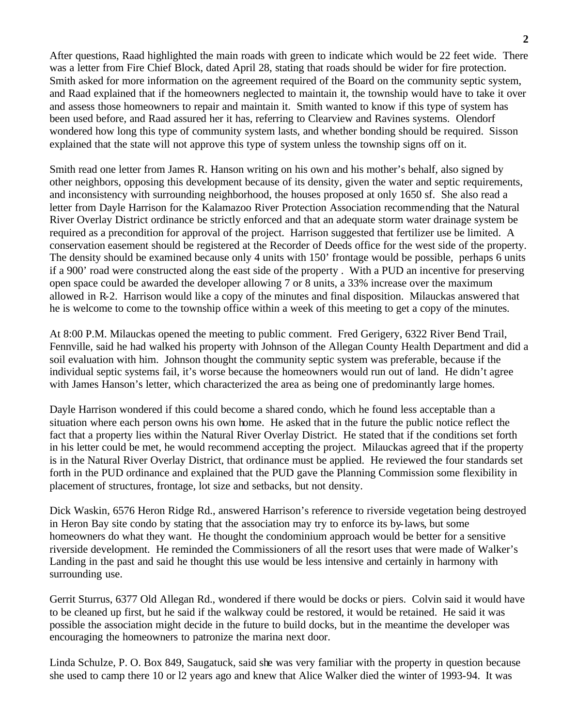After questions, Raad highlighted the main roads with green to indicate which would be 22 feet wide. There was a letter from Fire Chief Block, dated April 28, stating that roads should be wider for fire protection. Smith asked for more information on the agreement required of the Board on the community septic system, and Raad explained that if the homeowners neglected to maintain it, the township would have to take it over and assess those homeowners to repair and maintain it. Smith wanted to know if this type of system has been used before, and Raad assured her it has, referring to Clearview and Ravines systems. Olendorf wondered how long this type of community system lasts, and whether bonding should be required. Sisson explained that the state will not approve this type of system unless the township signs off on it.

Smith read one letter from James R. Hanson writing on his own and his mother's behalf, also signed by other neighbors, opposing this development because of its density, given the water and septic requirements, and inconsistency with surrounding neighborhood, the houses proposed at only 1650 sf. She also read a letter from Dayle Harrison for the Kalamazoo River Protection Association recommending that the Natural River Overlay District ordinance be strictly enforced and that an adequate storm water drainage system be required as a precondition for approval of the project. Harrison suggested that fertilizer use be limited. A conservation easement should be registered at the Recorder of Deeds office for the west side of the property. The density should be examined because only 4 units with 150' frontage would be possible, perhaps 6 units if a 900' road were constructed along the east side of the property . With a PUD an incentive for preserving open space could be awarded the developer allowing 7 or 8 units, a 33% increase over the maximum allowed in R-2. Harrison would like a copy of the minutes and final disposition. Milauckas answered that he is welcome to come to the township office within a week of this meeting to get a copy of the minutes.

At 8:00 P.M. Milauckas opened the meeting to public comment. Fred Gerigery, 6322 River Bend Trail, Fennville, said he had walked his property with Johnson of the Allegan County Health Department and did a soil evaluation with him. Johnson thought the community septic system was preferable, because if the individual septic systems fail, it's worse because the homeowners would run out of land. He didn't agree with James Hanson's letter, which characterized the area as being one of predominantly large homes.

Dayle Harrison wondered if this could become a shared condo, which he found less acceptable than a situation where each person owns his own home. He asked that in the future the public notice reflect the fact that a property lies within the Natural River Overlay District. He stated that if the conditions set forth in his letter could be met, he would recommend accepting the project. Milauckas agreed that if the property is in the Natural River Overlay District, that ordinance must be applied. He reviewed the four standards set forth in the PUD ordinance and explained that the PUD gave the Planning Commission some flexibility in placement of structures, frontage, lot size and setbacks, but not density.

Dick Waskin, 6576 Heron Ridge Rd., answered Harrison's reference to riverside vegetation being destroyed in Heron Bay site condo by stating that the association may try to enforce its by-laws, but some homeowners do what they want. He thought the condominium approach would be better for a sensitive riverside development. He reminded the Commissioners of all the resort uses that were made of Walker's Landing in the past and said he thought this use would be less intensive and certainly in harmony with surrounding use.

Gerrit Sturrus, 6377 Old Allegan Rd., wondered if there would be docks or piers. Colvin said it would have to be cleaned up first, but he said if the walkway could be restored, it would be retained. He said it was possible the association might decide in the future to build docks, but in the meantime the developer was encouraging the homeowners to patronize the marina next door.

Linda Schulze, P. O. Box 849, Saugatuck, said she was very familiar with the property in question because she used to camp there 10 or l2 years ago and knew that Alice Walker died the winter of 1993-94. It was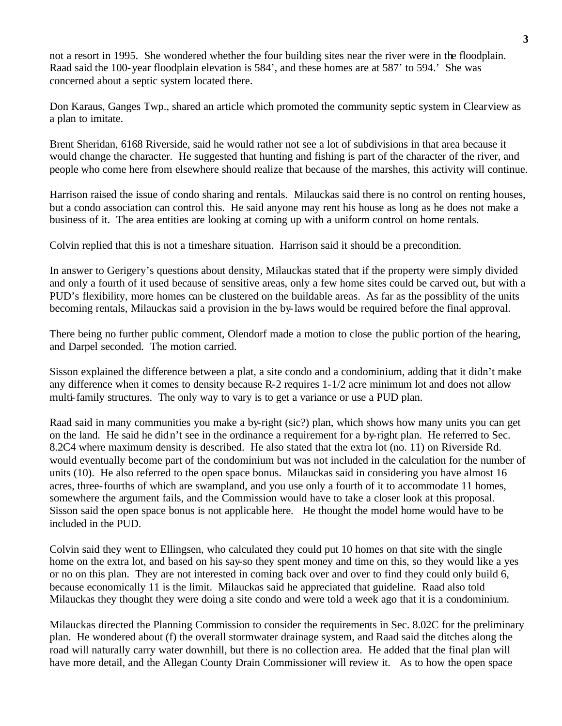not a resort in 1995. She wondered whether the four building sites near the river were in the floodplain. Raad said the 100-year floodplain elevation is 584', and these homes are at 587' to 594.' She was concerned about a septic system located there.

Don Karaus, Ganges Twp., shared an article which promoted the community septic system in Clearview as a plan to imitate.

Brent Sheridan, 6168 Riverside, said he would rather not see a lot of subdivisions in that area because it would change the character. He suggested that hunting and fishing is part of the character of the river, and people who come here from elsewhere should realize that because of the marshes, this activity will continue.

Harrison raised the issue of condo sharing and rentals. Milauckas said there is no control on renting houses, but a condo association can control this. He said anyone may rent his house as long as he does not make a business of it. The area entities are looking at coming up with a uniform control on home rentals.

Colvin replied that this is not a timeshare situation. Harrison said it should be a precondition.

In answer to Gerigery's questions about density, Milauckas stated that if the property were simply divided and only a fourth of it used because of sensitive areas, only a few home sites could be carved out, but with a PUD's flexibility, more homes can be clustered on the buildable areas. As far as the possiblity of the units becoming rentals, Milauckas said a provision in the by-laws would be required before the final approval.

There being no further public comment, Olendorf made a motion to close the public portion of the hearing, and Darpel seconded. The motion carried.

Sisson explained the difference between a plat, a site condo and a condominium, adding that it didn't make any difference when it comes to density because R-2 requires 1-1/2 acre minimum lot and does not allow multi-family structures. The only way to vary is to get a variance or use a PUD plan.

Raad said in many communities you make a by-right (sic?) plan, which shows how many units you can get on the land. He said he didn't see in the ordinance a requirement for a by-right plan. He referred to Sec. 8.2C4 where maximum density is described. He also stated that the extra lot (no. 11) on Riverside Rd. would eventually become part of the condominium but was not included in the calculation for the number of units (10). He also referred to the open space bonus. Milauckas said in considering you have almost 16 acres, three-fourths of which are swampland, and you use only a fourth of it to accommodate 11 homes, somewhere the argument fails, and the Commission would have to take a closer look at this proposal. Sisson said the open space bonus is not applicable here. He thought the model home would have to be included in the PUD.

Colvin said they went to Ellingsen, who calculated they could put 10 homes on that site with the single home on the extra lot, and based on his say-so they spent money and time on this, so they would like a yes or no on this plan. They are not interested in coming back over and over to find they could only build 6, because economically 11 is the limit. Milauckas said he appreciated that guideline. Raad also told Milauckas they thought they were doing a site condo and were told a week ago that it is a condominium.

Milauckas directed the Planning Commission to consider the requirements in Sec. 8.02C for the preliminary plan. He wondered about (f) the overall stormwater drainage system, and Raad said the ditches along the road will naturally carry water downhill, but there is no collection area. He added that the final plan will have more detail, and the Allegan County Drain Commissioner will review it. As to how the open space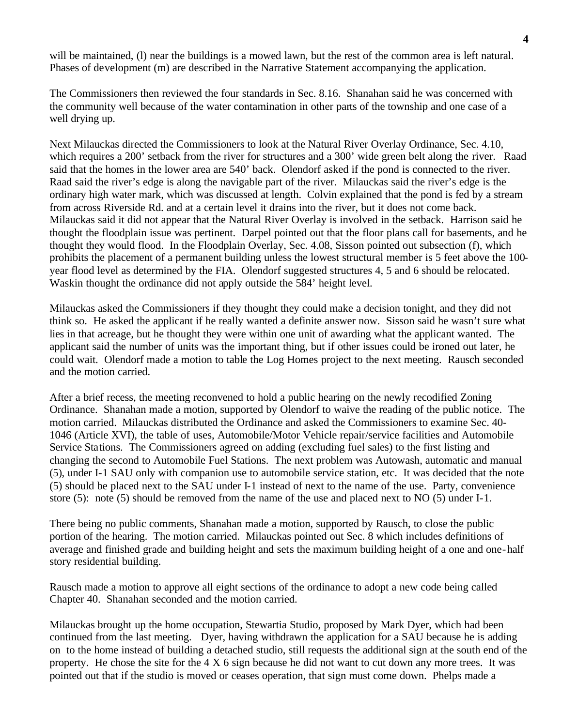will be maintained, (1) near the buildings is a mowed lawn, but the rest of the common area is left natural. Phases of development (m) are described in the Narrative Statement accompanying the application.

The Commissioners then reviewed the four standards in Sec. 8.16. Shanahan said he was concerned with the community well because of the water contamination in other parts of the township and one case of a well drying up.

Next Milauckas directed the Commissioners to look at the Natural River Overlay Ordinance, Sec. 4.10, which requires a 200' setback from the river for structures and a 300' wide green belt along the river. Raad said that the homes in the lower area are 540' back. Olendorf asked if the pond is connected to the river. Raad said the river's edge is along the navigable part of the river. Milauckas said the river's edge is the ordinary high water mark, which was discussed at length. Colvin explained that the pond is fed by a stream from across Riverside Rd. and at a certain level it drains into the river, but it does not come back. Milauckas said it did not appear that the Natural River Overlay is involved in the setback. Harrison said he thought the floodplain issue was pertinent. Darpel pointed out that the floor plans call for basements, and he thought they would flood. In the Floodplain Overlay, Sec. 4.08, Sisson pointed out subsection (f), which prohibits the placement of a permanent building unless the lowest structural member is 5 feet above the 100 year flood level as determined by the FIA. Olendorf suggested structures 4, 5 and 6 should be relocated. Waskin thought the ordinance did not apply outside the 584' height level.

Milauckas asked the Commissioners if they thought they could make a decision tonight, and they did not think so. He asked the applicant if he really wanted a definite answer now. Sisson said he wasn't sure what lies in that acreage, but he thought they were within one unit of awarding what the applicant wanted. The applicant said the number of units was the important thing, but if other issues could be ironed out later, he could wait. Olendorf made a motion to table the Log Homes project to the next meeting. Rausch seconded and the motion carried.

After a brief recess, the meeting reconvened to hold a public hearing on the newly recodified Zoning Ordinance. Shanahan made a motion, supported by Olendorf to waive the reading of the public notice. The motion carried. Milauckas distributed the Ordinance and asked the Commissioners to examine Sec. 40- 1046 (Article XVI), the table of uses, Automobile/Motor Vehicle repair/service facilities and Automobile Service Stations. The Commissioners agreed on adding (excluding fuel sales) to the first listing and changing the second to Automobile Fuel Stations. The next problem was Autowash, automatic and manual (5), under I-1 SAU only with companion use to automobile service station, etc. It was decided that the note (5) should be placed next to the SAU under I-1 instead of next to the name of the use. Party, convenience store (5): note (5) should be removed from the name of the use and placed next to NO (5) under I-1.

There being no public comments, Shanahan made a motion, supported by Rausch, to close the public portion of the hearing. The motion carried. Milauckas pointed out Sec. 8 which includes definitions of average and finished grade and building height and sets the maximum building height of a one and one-half story residential building.

Rausch made a motion to approve all eight sections of the ordinance to adopt a new code being called Chapter 40. Shanahan seconded and the motion carried.

Milauckas brought up the home occupation, Stewartia Studio, proposed by Mark Dyer, which had been continued from the last meeting. Dyer, having withdrawn the application for a SAU because he is adding on to the home instead of building a detached studio, still requests the additional sign at the south end of the property. He chose the site for the 4 X 6 sign because he did not want to cut down any more trees. It was pointed out that if the studio is moved or ceases operation, that sign must come down. Phelps made a